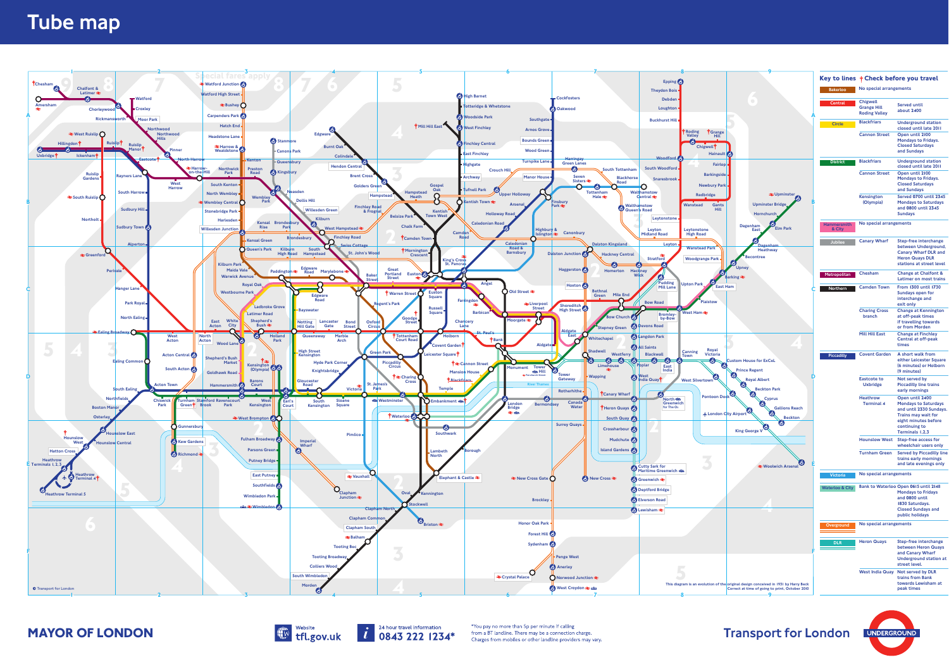



Website the streewill formation and a stream information the streep in the streep in the streep and one than Sp per minute if calling<br>
Transport for London UNDERGROUN<br>
Transport for London UNDERGROUN

|                                              |                                                                                                                  |                              |                                                               | Key to lines † Check before you travel                                                                                                                       |
|----------------------------------------------|------------------------------------------------------------------------------------------------------------------|------------------------------|---------------------------------------------------------------|--------------------------------------------------------------------------------------------------------------------------------------------------------------|
|                                              |                                                                                                                  | <b>Bakerloo</b>              | No special arrangements                                       |                                                                                                                                                              |
|                                              |                                                                                                                  | Central                      | <b>Chigwell</b><br><b>Grange Hill</b><br><b>Roding Valley</b> | <b>Served until</b><br>about 2400                                                                                                                            |
|                                              |                                                                                                                  | <b>Circle</b>                | <b>Blackfriars</b>                                            | <b>Underground station</b><br>closed until late 2011                                                                                                         |
| irange<br>Hill<br>iŤ<br>ainault <sup>1</sup> |                                                                                                                  |                              | <b>Cannon Street</b>                                          | Open until 2100<br><b>Mondays to Fridays.</b><br><b>Closed Saturdays</b><br>and Sundays                                                                      |
| <b>Fairlop</b>                               |                                                                                                                  | <b>District</b>              | <b>Blackfriars</b>                                            | <b>Underground station</b><br>closed until late 2011                                                                                                         |
| ingside<br><b>Iry Park</b>                   |                                                                                                                  |                              | <b>Cannon Street</b>                                          | Open until 2100<br><b>Mondays to Fridays.</b><br><b>Closed Saturdays</b><br>and Sundays                                                                      |
| ŗе<br>Gants<br>Hill                          | ₹Upminster<br><b>Upminster Bridge</b><br>Hornchurch                                                              |                              | Kensington<br>(Olympia)                                       | <b>Served 0700 until 2345</b><br><b>Mondays to Saturdays</b><br>and 0800 until 2345<br><b>Sundays</b>                                                        |
|                                              | Dagenham<br><b>Elm Park</b><br><b>East</b>                                                                       | <b>Hammersmith</b><br>& City | No special arrangements                                       |                                                                                                                                                              |
| rk<br>ark                                    | <b>Dagenham</b><br><b>Heathway</b><br><b>Becontree</b><br><b>Upney</b>                                           | <b>Jubilee</b>               | <b>Canary Wharf</b>                                           | <b>Step-free interchange</b><br>between Underground,<br><b>Canary Wharf DLR and</b><br><b>Heron Quays DLR</b><br>stations at street level                    |
|                                              | <b>Barking</b> $\geq$                                                                                            | Metropolitan                 | Chesham                                                       | <b>Change at Chalfont &amp;</b><br><b>Latimer on most trains</b>                                                                                             |
| <b>East Ham</b><br>wc                        |                                                                                                                  | Northern                     | <b>Camden Town</b>                                            | From 1300 until 1730<br>Sundays open for<br>interchange and<br>exit only                                                                                     |
|                                              |                                                                                                                  |                              | <b>Charing Cross</b><br>branch                                | <b>Change at Kennington</b><br>at off-peak times<br>if travelling towards<br>or from Morden                                                                  |
| yal                                          |                                                                                                                  |                              | <b>Mill Hill East</b>                                         | <b>Change at Finchley</b><br>Central at off-peak<br>times                                                                                                    |
| oria:                                        | <b>Custom House for ExCeL</b><br><b>Prince Regent</b>                                                            | <b>Piccadilly</b>            | <b>Covent Garden</b>                                          | A short walk from<br>either Leicester Square<br>(6 minutes) or Holborn<br>(9 minutes)                                                                        |
| B                                            | D<br><b>Royal Albert</b><br><b>Beckton Park</b>                                                                  |                              | <b>Eastcote to</b><br><b>Uxbridge</b>                         | Not served by<br><b>Piccadilly line trains</b><br>early mornings                                                                                             |
| oon Dock                                     | <b>Cyprus</b><br><b>Gallions Reach</b><br>ndon City Airport<br><b>Beckton</b><br>ð<br><b>King George V</b>       |                              | <b>Heathrow</b><br><b>Terminal 4</b>                          | Open until 2400<br><b>Mondays to Saturdays</b><br>and until 2330 Sundays.<br>Trains may wait for<br>eight minutes before<br>continuing to<br>Terminals 1,2,3 |
|                                              |                                                                                                                  |                              | <b>Hounslow West</b>                                          | Step-free access for<br>wheelchair users only                                                                                                                |
|                                              | <b>E</b> Woolwich Arsena                                                                                         |                              | <b>Turnham Green</b>                                          | <b>Served by Piccadilly line</b><br>trains early mornings<br>and late evenings only                                                                          |
|                                              |                                                                                                                  | <b>Victoria</b>              | No special arrangements                                       |                                                                                                                                                              |
|                                              |                                                                                                                  | <b>Waterloo &amp; City</b>   |                                                               | Bank to Waterloo Open 0615 until 2148<br><b>Mondays to Fridays</b><br>and 0800 until<br>1830 Saturdays.<br><b>Closed Sundays and</b><br>public holidays      |
|                                              |                                                                                                                  | Overground                   | No special arrangements                                       |                                                                                                                                                              |
|                                              |                                                                                                                  | <b>DLR</b>                   | <b>Heron Quays</b>                                            | <b>Step-free interchange</b><br>between Heron Quays<br>and Canary Wharf<br><b>Underground station at</b><br>street level.                                    |
|                                              | n of the original design conceived in 1931 by Harry Beck<br>Correct at time of going to print, October 2010<br>٥ |                              |                                                               | West India Quay Not served by DLR<br>trains from Bank<br>towards Lewisham at<br>peak times                                                                   |
|                                              |                                                                                                                  |                              |                                                               |                                                                                                                                                              |

# Tube map